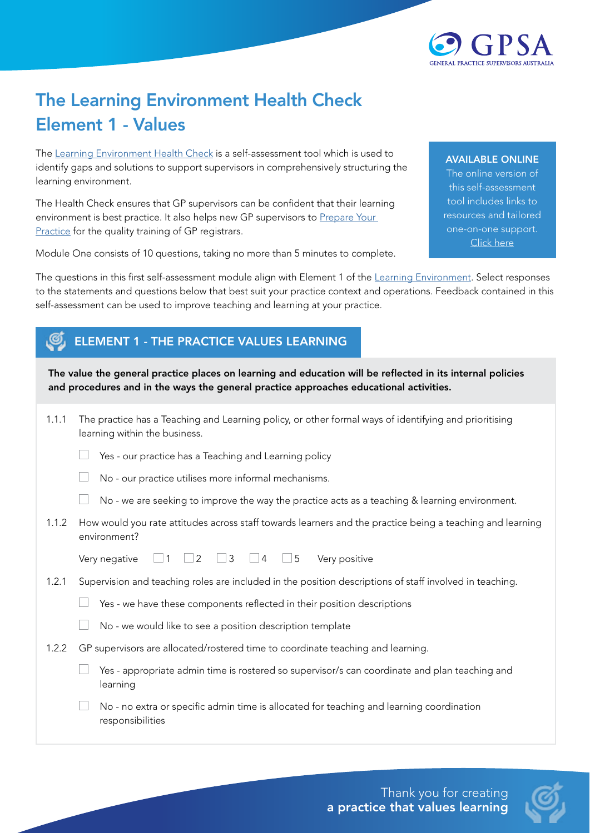

## The Learning Environment Health Check Element 1 - Values

The [Learning Environment Health Check](https://gpsupervisorsaustralia.org.au/learning-environment-health-check/) is a self-assessment tool which is used to identify gaps and solutions to support supervisors in comprehensively structuring the learning environment.

The Health Check ensures that GP supervisors can be confident that their learning environment is best practice. It also helps new GP supervisors to Prepare Your [Practice](https://gpsupervisorsaustralia.org.au/prepare-your-practice/) for the quality training of GP registrars.

Module One consists of 10 questions, taking no more than 5 minutes to complete.

## AVAILABLE ONLINE

The online version of this self-assessment tool includes links to resources and tailored one-on-one support. [Click here](https://gpsupervisorsaustralia.org.au/learning-environment-health-check/ )

The questions in this first self-assessment module align with Element 1 of the [Learning Environment](https://gpsupervisorsaustralia.org.au/the-learning-environment/). Select responses to the statements and questions below that best suit your practice context and operations. Feedback contained in this self-assessment can be used to improve teaching and learning at your practice.

## ELEMENT 1 - THE PRACTICE VALUES LEARNING

The value the general practice places on learning and education will be reflected in its internal policies and procedures and in the ways the general practice approaches educational activities.

| 1.1.1 | The practice has a Teaching and Learning policy, or other formal ways of identifying and prioritising<br>learning within the business. |
|-------|----------------------------------------------------------------------------------------------------------------------------------------|
|       | Yes - our practice has a Teaching and Learning policy                                                                                  |
|       | No - our practice utilises more informal mechanisms.                                                                                   |
|       | No - we are seeking to improve the way the practice acts as a teaching & learning environment.                                         |
| 1.1.2 | How would you rate attitudes across staff towards learners and the practice being a teaching and learning<br>environment?              |
|       | $\Box$ 5<br>$\Box$ 2 $\Box$ 3 $\Box$ 4<br>Very positive<br>Very negative<br>$\Box$ 1                                                   |
| 1.2.1 | Supervision and teaching roles are included in the position descriptions of staff involved in teaching.                                |
|       | Yes - we have these components reflected in their position descriptions                                                                |
|       | No - we would like to see a position description template                                                                              |
| 1.2.2 | GP supervisors are allocated/rostered time to coordinate teaching and learning.                                                        |
|       | Yes - appropriate admin time is rostered so supervisor/s can coordinate and plan teaching and<br>learning                              |
|       | No - no extra or specific admin time is allocated for teaching and learning coordination<br>responsibilities                           |
|       |                                                                                                                                        |